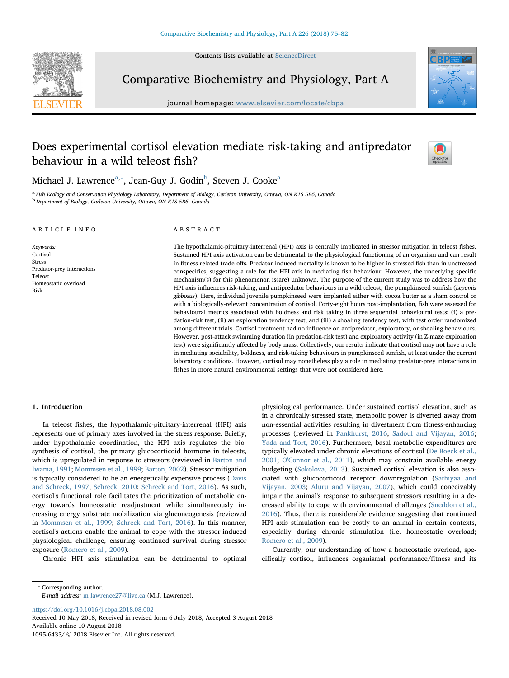Contents lists available at [ScienceDirect](http://www.sciencedirect.com/science/journal/10956433)



Comparative Biochemistry and Physiology, Part A

journal homepage: [www.elsevier.com/locate/cbpa](https://www.elsevier.com/locate/cbpa)

# Does experimental cortisol elevation mediate risk-taking and antipredator behaviour in a wild teleost fish?



Mich[a](#page-0-0)el J. Lawrence $^{\rm a, *}$  $^{\rm a, *}$  $^{\rm a, *}$ , Jean-Guy J. Godin $^{\rm b}$  $^{\rm b}$  $^{\rm b}$ , Steven J. Cooke $^{\rm a}$ 

<span id="page-0-2"></span><span id="page-0-0"></span><sup>a</sup> Fish Ecology and Conservation Physiology Laboratory, Department of Biology, Carleton University, Ottawa, ON K1S 5B6, Canada b Department of Biology, Carleton University, Ottawa, ON K1S 5B6, Canada

# ARTICLE INFO

Keywords: Cortisol **Stress** Predator-prey interactions Teleost Homeostatic overload Risk

# ABSTRACT

The hypothalamic-pituitary-interrenal (HPI) axis is centrally implicated in stressor mitigation in teleost fishes. Sustained HPI axis activation can be detrimental to the physiological functioning of an organism and can result in fitness-related trade-offs. Predator-induced mortality is known to be higher in stressed fish than in unstressed conspecifics, suggesting a role for the HPI axis in mediating fish behaviour. However, the underlying specific mechanism(s) for this phenomenon is(are) unknown. The purpose of the current study was to address how the HPI axis influences risk-taking, and antipredator behaviours in a wild teleost, the pumpkinseed sunfish (Lepomis gibbosus). Here, individual juvenile pumpkinseed were implanted either with cocoa butter as a sham control or with a biologically-relevant concentration of cortisol. Forty-eight hours post-implantation, fish were assessed for behavioural metrics associated with boldness and risk taking in three sequential behavioural tests: (i) a predation-risk test, (ii) an exploration tendency test, and (iii) a shoaling tendency test, with test order randomized among different trials. Cortisol treatment had no influence on antipredator, exploratory, or shoaling behaviours. However, post-attack swimming duration (in predation-risk test) and exploratory activity (in Z-maze exploration test) were significantly affected by body mass. Collectively, our results indicate that cortisol may not have a role in mediating sociability, boldness, and risk-taking behaviours in pumpkinseed sunfish, at least under the current laboratory conditions. However, cortisol may nonetheless play a role in mediating predator-prey interactions in fishes in more natural environmental settings that were not considered here.

# 1. Introduction

In teleost fishes, the hypothalamic-pituitary-interrenal (HPI) axis represents one of primary axes involved in the stress response. Briefly, under hypothalamic coordination, the HPI axis regulates the biosynthesis of cortisol, the primary glucocorticoid hormone in teleosts, which is upregulated in response to stressors (reviewed in [Barton and](#page-6-0) [Iwama, 1991;](#page-6-0) [Mommsen et al., 1999](#page-7-0); [Barton, 2002](#page-6-1)). Stressor mitigation is typically considered to be an energetically expensive process [\(Davis](#page-6-2) [and Schreck, 1997](#page-6-2); [Schreck, 2010](#page-7-1); [Schreck and Tort, 2016\)](#page-7-2). As such, cortisol's functional role facilitates the prioritization of metabolic energy towards homeostatic readjustment while simultaneously increasing energy substrate mobilization via gluconeogenesis (reviewed in [Mommsen et al., 1999](#page-7-0); [Schreck and Tort, 2016](#page-7-2)). In this manner, cortisol's actions enable the animal to cope with the stressor-induced physiological challenge, ensuring continued survival during stressor exposure ([Romero et al., 2009\)](#page-7-3).

Chronic HPI axis stimulation can be detrimental to optimal

physiological performance. Under sustained cortisol elevation, such as in a chronically-stressed state, metabolic power is diverted away from non-essential activities resulting in divestment from fitness-enhancing processes (reviewed in [Pankhurst, 2016](#page-7-4), [Sadoul and Vijayan, 2016](#page-7-5); [Yada and Tort, 2016](#page-7-6)). Furthermore, basal metabolic expenditures are typically elevated under chronic elevations of cortisol [\(De Boeck et al.,](#page-6-3) [2001;](#page-6-3) [O'Connor et al., 2011\)](#page-7-7), which may constrain available energy budgeting [\(Sokolova, 2013\)](#page-7-8). Sustained cortisol elevation is also associated with glucocorticoid receptor downregulation ([Sathiyaa and](#page-7-9) [Vijayan, 2003;](#page-7-9) [Aluru and Vijayan, 2007](#page-6-4)), which could conceivably impair the animal's response to subsequent stressors resulting in a decreased ability to cope with environmental challenges ([Sneddon et al.,](#page-7-10) [2016\)](#page-7-10). Thus, there is considerable evidence suggesting that continued HPI axis stimulation can be costly to an animal in certain contexts, especially during chronic stimulation (i.e. homeostatic overload; [Romero et al., 2009\)](#page-7-3).

Currently, our understanding of how a homeostatic overload, specifically cortisol, influences organismal performance/fitness and its

<span id="page-0-1"></span>⁎ Corresponding author.

E-mail address: [m\\_lawrence27@live.ca](mailto:m_lawrence27@live.ca) (M.J. Lawrence).

<https://doi.org/10.1016/j.cbpa.2018.08.002>

Received 10 May 2018; Received in revised form 6 July 2018; Accepted 3 August 2018 Available online 10 August 2018 1095-6433/ © 2018 Elsevier Inc. All rights reserved.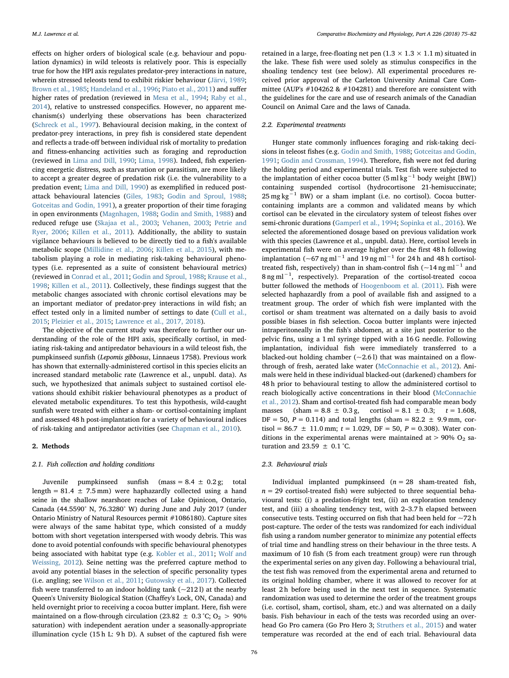effects on higher orders of biological scale (e.g. behaviour and population dynamics) in wild teleosts is relatively poor. This is especially true for how the HPI axis regulates predator-prey interactions in nature, wherein stressed teleosts tend to exhibit riskier behaviour [\(Järvi, 1989](#page-6-5); [Brown et al., 1985;](#page-6-6) [Handeland et al., 1996](#page-6-7); [Piato et al., 2011\)](#page-7-11) and suffer higher rates of predation (reviewed in [Mesa et al., 1994;](#page-7-12) [Raby et al.,](#page-7-13) [2014\)](#page-7-13), relative to unstressed conspecifics. However, no apparent mechanism(s) underlying these observations has been characterized ([Schreck et al., 1997](#page-7-14)). Behavioural decision making, in the context of predator-prey interactions, in prey fish is considered state dependent and reflects a trade-off between individual risk of mortality to predation and fitness-enhancing activities such as foraging and reproduction (reviewed in [Lima and Dill, 1990](#page-7-15); [Lima, 1998](#page-7-16)). Indeed, fish experiencing energetic distress, such as starvation or parasitism, are more likely to accept a greater degree of predation risk (i.e. the vulnerability to a predation event; [Lima and Dill, 1990\)](#page-7-15) as exemplified in reduced postattack behavioural latencies ([Giles, 1983;](#page-6-8) [Godin and Sproul, 1988](#page-6-9); [Gotceitas and Godin, 1991\)](#page-6-10), a greater proportion of their time foraging in open environments ([Magnhagen, 1988](#page-7-17); [Godin and Smith, 1988](#page-6-11)) and reduced refuge use [\(Skajaa et al., 2003](#page-7-18); [Vehanen, 2003;](#page-7-19) [Petrie and](#page-7-20) [Ryer, 2006](#page-7-20); [Killen et al., 2011](#page-6-12)). Additionally, the ability to sustain vigilance behaviours is believed to be directly tied to a fish's available metabolic scope [\(Millidine et al., 2006;](#page-7-21) [Killen et al., 2015](#page-6-13)), with metabolism playing a role in mediating risk-taking behavioural phenotypes (i.e. represented as a suite of consistent behavioural metrics) (reviewed in [Conrad et al., 2011;](#page-6-14) [Godin and Sproul, 1988;](#page-6-9) [Krause et al.,](#page-6-15) [1998;](#page-6-15) [Killen et al., 2011](#page-6-12)). Collectively, these findings suggest that the metabolic changes associated with chronic cortisol elevations may be an important mediator of predator-prey interactions in wild fish; an effect tested only in a limited number of settings to date ([Cull et al.,](#page-6-16) [2015;](#page-6-16) [Pleizier et al., 2015](#page-7-22); [Lawrence et al., 2017, 2018](#page-7-23)).

The objective of the current study was therefore to further our understanding of the role of the HPI axis, specifically cortisol, in mediating risk-taking and antipredator behaviours in a wild teleost fish, the pumpkinseed sunfish (Lepomis gibbosus, Linnaeus 1758). Previous work has shown that externally-administered cortisol in this species elicits an increased standard metabolic rate (Lawrence et al., unpubl. data). As such, we hypothesized that animals subject to sustained cortisol elevations should exhibit riskier behavioural phenotypes as a product of elevated metabolic expenditures. To test this hypothesis, wild-caught sunfish were treated with either a sham- or cortisol-containing implant and assessed 48 h post-implantation for a variety of behavioural indices of risk-taking and antipredator activities (see [Chapman et al., 2010\)](#page-6-17).

#### 2. Methods

#### 2.1. Fish collection and holding conditions

Juvenile pumpkinseed sunfish (mass =  $8.4 \pm 0.2$  g; total length =  $81.4 \pm 7.5$  mm) were haphazardly collected using a hand seine in the shallow nearshore reaches of Lake Opinicon, Ontario, Canada (44.5590° N, 76.3280° W) during June and July 2017 (under Ontario Ministry of Natural Resources permit #1086180). Capture sites were always of the same habitat type, which consisted of a muddy bottom with short vegetation interspersed with woody debris. This was done to avoid potential confounds with specific behavioural phenotypes being associated with habitat type (e.g. [Kobler et al., 2011;](#page-6-18) [Wolf and](#page-7-24) [Weissing, 2012\)](#page-7-24). Seine netting was the preferred capture method to avoid any potential biases in the selection of specific personality types (i.e. angling; see [Wilson et al., 2011](#page-7-25); [Gutowsky et al., 2017](#page-6-19)). Collected fish were transferred to an indoor holding tank  $(-2121)$  at the nearby Queen's University Biological Station (Chaffey's Lock, ON, Canada) and held overnight prior to receiving a cocoa butter implant. Here, fish were maintained on a flow-through circulation (23.82  $\pm$  0.3 °C; O<sub>2</sub> > 90% saturation) with independent aeration under a seasonally-appropriate illumination cycle (15 h L: 9 h D). A subset of the captured fish were

retained in a large, free-floating net pen  $(1.3 \times 1.3 \times 1.1 \text{ m})$  situated in the lake. These fish were used solely as stimulus conspecifics in the shoaling tendency test (see below). All experimental procedures received prior approval of the Carleton University Animal Care Committee (AUP's #104262 & #104281) and therefore are consistent with the guidelines for the care and use of research animals of the Canadian Council on Animal Care and the laws of Canada.

# 2.2. Experimental treatments

Hunger state commonly influences foraging and risk-taking decisions in teleost fishes (e.g. [Godin and Smith, 1988](#page-6-11); [Gotceitas and Godin,](#page-6-10) [1991;](#page-6-10) [Godin and Crossman, 1994](#page-6-20)). Therefore, fish were not fed during the holding period and experimental trials. Test fish were subjected to the implantation of either cocoa butter (5 ml kg<sup>-1</sup> body weight [BW]) containing suspended cortisol (hydrocortisone 21-hemisuccinate;  $25 \text{ mg kg}^{-1}$  BW) or a sham implant (i.e. no cortisol). Cocoa buttercontaining implants are a common and validated means by which cortisol can be elevated in the circulatory system of teleost fishes over semi-chronic durations [\(Gamperl et al., 1994;](#page-6-21) [Sopinka et al., 2016\)](#page-7-26). We selected the aforementioned dosage based on previous validation work with this species (Lawrence et al., unpubl. data). Here, cortisol levels in experimental fish were on average higher over the first 48 h following implantation (~67 ng ml<sup>-1</sup> and 19 ng ml<sup>-1</sup> for 24 h and 48 h cortisoltreated fish, respectively) than in sham-control fish ( $\sim$ 14 ng ml<sup>-1</sup> and 8 ng ml<sup>-1</sup>, respectively). Preparation of the cortisol-treated cocoa butter followed the methods of [Hoogenboom et al. \(2011\).](#page-6-22) Fish were selected haphazardly from a pool of available fish and assigned to a treatment group. The order of which fish were implanted with the cortisol or sham treatment was alternated on a daily basis to avoid possible biases in fish selection. Cocoa butter implants were injected intraperitoneally in the fish's abdomen, at a site just posterior to the pelvic fins, using a 1 ml syringe tipped with a 16 G needle. Following implantation, individual fish were immediately transferred to a blacked-out holding chamber  $(-2.61)$  that was maintained on a flowthrough of fresh, aerated lake water ([McConnachie et al., 2012\)](#page-7-27). Animals were held in these individual blacked-out (darkened) chambers for 48 h prior to behavioural testing to allow the administered cortisol to reach biologically active concentrations in their blood ([McConnachie](#page-7-27) [et al., 2012](#page-7-27)). Sham and cortisol-treated fish had comparable mean body masses (sham =  $8.8 \pm 0.3$  g, cortisol =  $8.1 \pm 0.3$ ;  $t = 1.608$ ,  $DF = 50$ ,  $P = 0.114$ ) and total lengths (sham = 82.2  $\pm$  9.9 mm, cortisol = 86.7  $\pm$  11.0 mm; t = 1.029, DF = 50, P = 0.308). Water conditions in the experimental arenas were maintained at  $> 90\%$  O<sub>2</sub> saturation and 23.59  $\pm$  0.1 °C.

#### 2.3. Behavioural trials

Individual implanted pumpkinseed ( $n = 28$  sham-treated fish,  $n = 29$  cortisol-treated fish) were subjected to three sequential behavioural tests: (i) a predation-fright test, (ii) an exploration tendency test, and (iii) a shoaling tendency test, with 2–3.7 h elapsed between consecutive tests. Testing occurred on fish that had been held for  $\sim$ 72 h post-capture. The order of the tests was randomized for each individual fish using a random number generator to minimize any potential effects of trial time and handling stress on their behaviour in the three tests. A maximum of 10 fish (5 from each treatment group) were run through the experimental series on any given day. Following a behavioural trial, the test fish was removed from the experimental arena and returned to its original holding chamber, where it was allowed to recover for at least 2 h before being used in the next test in sequence. Systematic randomization was used to determine the order of the treatment groups (i.e. cortisol, sham, cortisol, sham, etc.) and was alternated on a daily basis. Fish behaviour in each of the tests was recorded using an overhead Go Pro camera (Go Pro Hero 3; [Struthers et al., 2015](#page-7-28)) and water temperature was recorded at the end of each trial. Behavioural data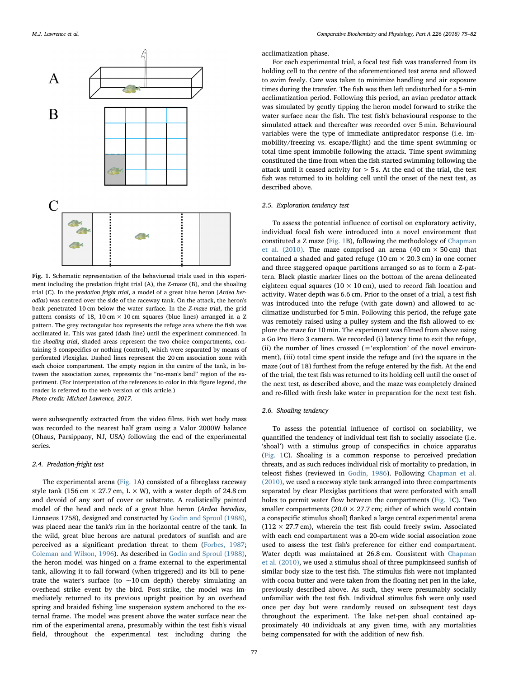<span id="page-2-0"></span>

Fig. 1. Schematic representation of the behaviorual trials used in this experiment including the predation fright trial (A), the Z-maze (B), and the shoaling trial (C). In the predation fright trial, a model of a great blue heron (Ardea herodias) was centred over the side of the raceway tank. On the attack, the heron's beak penetrated 10 cm below the water surface. In the Z-maze trial, the grid pattern consists of 18, 10 cm  $\times$  10 cm squares (blue lines) arranged in a Z pattern. The grey rectangular box represents the refuge area where the fish was acclimated in. This was gated (dash line) until the experiment commenced. In the shoaling trial, shaded areas represent the two choice compartments, containing 3 conspecifics or nothing (control), which were separated by means of perforated Plexiglas. Dashed lines represent the 20 cm association zone with each choice compartment. The empty region in the centre of the tank, in between the association zones, represents the "no-man's land" region of the experiment. (For interpretation of the references to color in this figure legend, the reader is referred to the web version of this article.) Photo credit: Michael Lawrence, 2017.

were subsequently extracted from the video films. Fish wet body mass was recorded to the nearest half gram using a Valor 2000W balance (Ohaus, Parsippany, NJ, USA) following the end of the experimental series.

## 2.4. Predation-fright test

The experimental arena [\(Fig. 1A](#page-2-0)) consisted of a fibreglass raceway style tank (156 cm  $\times$  27.7 cm, L  $\times$  W), with a water depth of 24.8 cm and devoid of any sort of cover or substrate. A realistically painted model of the head and neck of a great blue heron (Ardea herodias, Linnaeus 1758), designed and constructed by [Godin and Sproul \(1988\)](#page-6-9), was placed near the tank's rim in the horizontal centre of the tank. In the wild, great blue herons are natural predators of sunfish and are perceived as a significant predation threat to them ([Forbes, 1987](#page-6-23); [Coleman and Wilson, 1996](#page-6-24)). As described in [Godin and Sproul \(1988\)](#page-6-9), the heron model was hinged on a frame external to the experimental tank, allowing it to fall forward (when triggered) and its bill to penetrate the water's surface (to  $\sim$ 10 cm depth) thereby simulating an overhead strike event by the bird. Post-strike, the model was immediately returned to its previous upright position by an overhead spring and braided fishing line suspension system anchored to the external frame. The model was present above the water surface near the rim of the experimental arena, presumably within the test fish's visual field, throughout the experimental test including during the acclimatization phase.

For each experimental trial, a focal test fish was transferred from its holding cell to the centre of the aforementioned test arena and allowed to swim freely. Care was taken to minimize handling and air exposure times during the transfer. The fish was then left undisturbed for a 5-min acclimatization period. Following this period, an avian predator attack was simulated by gently tipping the heron model forward to strike the water surface near the fish. The test fish's behavioural response to the simulated attack and thereafter was recorded over 5 min. Behavioural variables were the type of immediate antipredator response (i.e. immobility/freezing vs. escape/flight) and the time spent swimming or total time spent immobile following the attack. Time spent swimming constituted the time from when the fish started swimming following the attack until it ceased activity for > 5 s. At the end of the trial, the test fish was returned to its holding cell until the onset of the next test, as described above.

# 2.5. Exploration tendency test

To assess the potential influence of cortisol on exploratory activity, individual focal fish were introduced into a novel environment that constituted a Z maze [\(Fig. 1B](#page-2-0)), following the methodology of [Chapman](#page-6-17) [et al. \(2010\).](#page-6-17) The maze comprised an arena (40 cm  $\times$  50 cm) that contained a shaded and gated refuge ( $10 \text{ cm} \times 20.3 \text{ cm}$ ) in one corner and three staggered opaque partitions arranged so as to form a Z-pattern. Black plastic marker lines on the bottom of the arena delineated eighteen equal squares ( $10 \times 10$  cm), used to record fish location and activity. Water depth was 6.6 cm. Prior to the onset of a trial, a test fish was introduced into the refuge (with gate down) and allowed to acclimatize undisturbed for 5 min. Following this period, the refuge gate was remotely raised using a pulley system and the fish allowed to explore the maze for 10 min. The experiment was filmed from above using a Go Pro Hero 3 camera. We recorded (i) latency time to exit the refuge, (ii) the number of lines crossed  $($  = 'exploration' of the novel environment), (iii) total time spent inside the refuge and (iv) the square in the maze (out of 18) furthest from the refuge entered by the fish. At the end of the trial, the test fish was returned to its holding cell until the onset of the next test, as described above, and the maze was completely drained and re-filled with fresh lake water in preparation for the next test fish.

#### 2.6. Shoaling tendency

To assess the potential influence of cortisol on sociability, we quantified the tendency of individual test fish to socially associate (i.e. 'shoal') with a stimulus group of conspecifics in choice apparatus ([Fig. 1](#page-2-0)C). Shoaling is a common response to perceived predation threats, and as such reduces individual risk of mortality to predation, in teleost fishes (reviewed in [Godin, 1986\)](#page-6-25). Following [Chapman et al.](#page-6-17) [\(2010\),](#page-6-17) we used a raceway style tank arranged into three compartments separated by clear Plexiglas partitions that were perforated with small holes to permit water flow between the compartments ([Fig. 1](#page-2-0)C). Two smaller compartments (20.0  $\times$  27.7 cm; either of which would contain a conspecific stimulus shoal) flanked a large central experimental arena  $(112 \times 27.7 \text{ cm})$ , wherein the test fish could freely swim. Associated with each end compartment was a 20-cm wide social association zone used to assess the test fish's preference for either end compartment. Water depth was maintained at 26.8 cm. Consistent with [Chapman](#page-6-17) [et al. \(2010\)](#page-6-17), we used a stimulus shoal of three pumpkinseed sunfish of similar body size to the test fish. The stimulus fish were not implanted with cocoa butter and were taken from the floating net pen in the lake, previously described above. As such, they were presumably socially unfamiliar with the test fish. Individual stimulus fish were only used once per day but were randomly reused on subsequent test days throughout the experiment. The lake net-pen shoal contained approximately 40 individuals at any given time, with any mortalities being compensated for with the addition of new fish.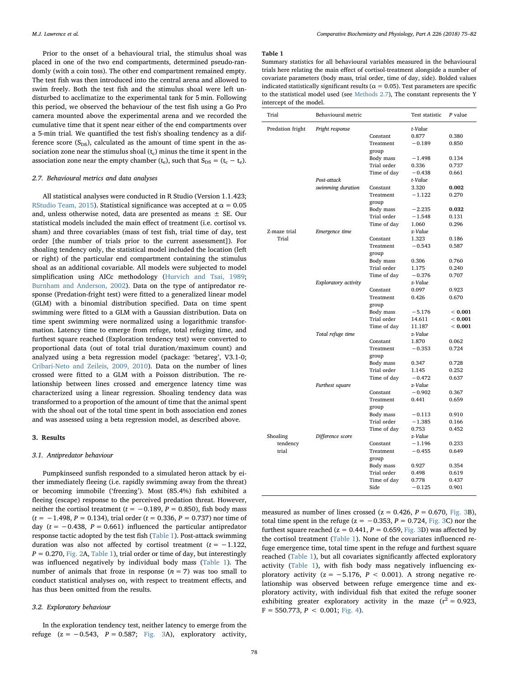Prior to the onset of a behavioural trial, the stimulus shoal was placed in one of the two end compartments, determined pseudo-randomly (with a coin toss). The other end compartment remained empty. The test fish was then introduced into the central arena and allowed to swim freely. Both the test fish and the stimulus shoal were left undisturbed to acclimatize to the experimental tank for 5 min. Following this period, we observed the behaviour of the test fish using a Go Pro camera mounted above the experimental arena and we recorded the cumulative time that it spent near either of the end compartments over a 5-min trial. We quantified the test fish's shoaling tendency as a difference score  $(S_{DS})$ , calculated as the amount of time spent in the association zone near the stimulus shoal  $(t<sub>c</sub>)$  minus the time it spent in the association zone near the empty chamber ( $t_e$ ), such that  $S_{DS} = (t_c - t_e)$ .

## <span id="page-3-1"></span>2.7. Behavioural metrics and data analyses

All statistical analyses were conducted in R Studio (Version 1.1.423; [RStudio Team, 2015\)](#page-7-29). Statistical significance was accepted at  $\alpha = 0.05$ and, unless otherwise noted, data are presented as means ± SE. Our statistical models included the main effect of treatment (i.e. cortisol vs. sham) and three covariables (mass of test fish, trial time of day, test order [the number of trials prior to the current assessment]). For shoaling tendency only, the statistical model included the location (left or right) of the particular end compartment containing the stimulus shoal as an additional covariable. All models were subjected to model simplification using AICc methodology [\(Hurvich and Tsai, 1989](#page-6-26); [Burnham and Anderson, 2002](#page-6-27)). Data on the type of antipredator response (Predation-fright test) were fitted to a generalized linear model (GLM) with a binomial distribution specified. Data on time spent swimming were fitted to a GLM with a Gaussian distribution. Data on time spent swimming were normalized using a logarithmic transformation. Latency time to emerge from refuge, total refuging time, and furthest square reached (Exploration tendency test) were converted to proportional data (out of total trial duration/maximum count) and analyzed using a beta regression model (package: 'betareg', V3.1-0; [Cribari-Neto and Zeileis, 2009, 2010](#page-6-28)). Data on the number of lines crossed were fitted to a GLM with a Poisson distribution. The relationship between lines crossed and emergence latency time was characterized using a linear regression. Shoaling tendency data was transformed to a proportion of the amount of time that the animal spent with the shoal out of the total time spent in both association end zones and was assessed using a beta regression model, as described above.

#### 3. Results

#### 3.1. Antipredator behaviour

Pumpkinseed sunfish responded to a simulated heron attack by either immediately fleeing (i.e. rapidly swimming away from the threat) or becoming immobile ('freezing'). Most (85.4%) fish exhibited a fleeing (escape) response to the perceived predation threat. However, neither the cortisol treatment ( $t = −0.189$ ,  $P = 0.850$ ), fish body mass ( $t = −1.498$ ,  $P = 0.134$ ), trial order ( $t = 0.336$ ,  $P = 0.737$ ) nor time of day ( $t = -0.438$ ,  $P = 0.661$ ) influenced the particular antipredator response tactic adopted by the test fish [\(Table](#page-3-0) 1). Post-attack swimming duration was also not affected by cortisol treatment ( $t = -1.122$ ,  $P = 0.270$ , [Fig. 2](#page-4-0)A, [Table 1\)](#page-3-0), trial order or time of day, but interestingly was influenced negatively by individual body mass [\(Table 1\)](#page-3-0). The number of animals that froze in response  $(n = 7)$  was too small to conduct statistical analyses on, with respect to treatment effects, and has thus been omitted from the results.

#### 3.2. Exploratory behaviour

In the exploration tendency test, neither latency to emerge from the refuge  $(z = -0.543, P = 0.587;$  [Fig. 3A](#page-4-1)), exploratory activity,

#### <span id="page-3-0"></span>Table 1

Summary statistics for all behavioural variables measured in the behavioural trials here relating the main effect of cortisol-treatment alongside a number of covariate parameters (body mass, trial order, time of day, side). Bolded values indicated statistically significant results ( $\alpha = 0.05$ ). Test parameters are specific to the statistical model used (see [Methods 2.7\)](#page-3-1), The constant represents the Y intercept of the model.

| Trial            | Behavioural metric   |                     | Test statistic | P value |
|------------------|----------------------|---------------------|----------------|---------|
| Predation fright | Fright response      |                     | t-Value        |         |
|                  |                      | Constant            | 0.877          | 0.380   |
|                  |                      | Treatment           | $-0.189$       | 0.850   |
|                  |                      | group               |                |         |
|                  |                      | Body mass           | $-1.498$       | 0.134   |
|                  |                      | Trial order         | 0.336          | 0.737   |
|                  |                      | Time of day         | $-0.438$       | 0.661   |
|                  | Post-attack          |                     | t-Value        |         |
|                  | swimming duration    | Constant            | 3.320          | 0.002   |
|                  |                      | Treatment           | $-1.122$       | 0.270   |
|                  |                      | group               |                |         |
|                  |                      | Body mass           | $-2.235$       | 0.032   |
|                  |                      | Trial order         | $-1.548$       | 0.131   |
|                  |                      | Time of day         | 1.060          | 0.296   |
| Z-maze trial     | Emergence time       |                     | z-Value        |         |
| Trial            |                      | Constant            | 1.323          | 0.186   |
|                  |                      | Treatment           | $-0.543$       | 0.587   |
|                  |                      | group               |                |         |
|                  |                      | Body mass           | 0.306          | 0.760   |
|                  |                      | Trial order         | 1.175          | 0.240   |
|                  | Exploratory activity | Time of day         | $-0.376$       | 0.707   |
|                  |                      |                     | z-Value        |         |
|                  |                      | Constant            | 0.097<br>0.426 | 0.923   |
|                  |                      | Treatment<br>group  |                | 0.670   |
|                  |                      | Body mass           | $-5.176$       | < 0.001 |
|                  |                      | Trial order         | 14.611         | < 0.001 |
|                  |                      | Time of day         | 11.187         | < 0.001 |
|                  | Total refuge time    |                     | z-Value        |         |
|                  |                      | Constant            | 1.870          | 0.062   |
|                  |                      | Treatment           | $-0.353$       | 0.724   |
|                  |                      | group               |                |         |
|                  |                      | Body mass           | 0.347          | 0.728   |
|                  |                      | Trial order         | 1.145          | 0.252   |
|                  |                      | Time of day         | $-0.472$       | 0.637   |
|                  | Furthest square      |                     | z-Value        |         |
|                  |                      | Constant            | $-0.902$       | 0.367   |
|                  |                      | Treatment           | 0.441          | 0.659   |
|                  |                      | group               |                |         |
|                  |                      | Body mass           | $-0.113$       | 0.910   |
|                  |                      | Trial order         | $-1.385$       | 0.166   |
|                  |                      | Time of day         | 0.753          | 0.452   |
| Shoaling         | Difference score     |                     | z-Value        |         |
| tendency         |                      | Constant            | $-1.196$       | 0.233   |
| trial            |                      | Treatment           | $-0.455$       | 0.649   |
|                  |                      | group               |                |         |
|                  |                      | Body mass           | 0.927          | 0.354   |
|                  |                      | Trial order         | 0.498          | 0.619   |
|                  |                      | Time of day<br>Side | 0.778          | 0.437   |
|                  |                      |                     | $-0.125$       | 0.901   |

measured as number of lines crossed ( $z = 0.426$ ,  $P = 0.670$ , [Fig. 3B](#page-4-1)), total time spent in the refuge ( $z = -0.353$ ,  $P = 0.724$ , [Fig. 3C](#page-4-1)) nor the furthest square reached ( $z = 0.441$ ,  $P = 0.659$ , [Fig. 3D](#page-4-1)) was affected by the cortisol treatment ([Table 1\)](#page-3-0). None of the covariates influenced refuge emergence time, total time spent in the refuge and furthest square reached [\(Table 1](#page-3-0)), but all covariates significantly affected exploratory activity ([Table 1](#page-3-0)), with fish body mass negatively influencing exploratory activity ( $z = -5.176$ ,  $P < 0.001$ ). A strong negative relationship was observed between refuge emergence time and exploratory activity, with individual fish that exited the refuge sooner exhibiting greater exploratory activity in the maze  $(r^2 = 0.923,$  $F = 550.773, P < 0.001$ ; [Fig. 4](#page-4-2)).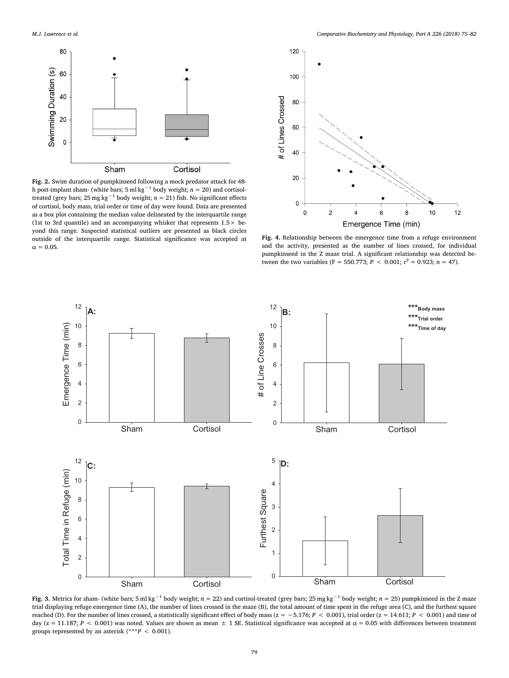<span id="page-4-0"></span>

Fig. 2. Swim duration of pumpkinseed following a mock predator attack for 48 h post-implant sham- (white bars; 5 ml kg<sup>-1</sup> body weight;  $n = 20$ ) and cortisoltreated (grey bars;  $25 \text{ mg kg}^{-1}$  body weight;  $n = 21$ ) fish. No significant effects of cortisol, body mass, trial order or time of day were found. Data are presented as a box plot containing the median value delineated by the interquartile range (1st to 3rd quantile) and an accompanying whisker that represents  $1.5 \times$  beyond this range. Suspected statistical outliers are presented as black circles outside of the interquartile range. Statistical significance was accepted at  $\alpha = 0.05$ .

<span id="page-4-2"></span>

Fig. 4. Relationship between the emergence time from a refuge environment and the activity, presented as the number of lines crossed, for individual pumpkinseed in the Z maze trial. A significant relationship was detected between the two variables (F = 550.773;  $P < 0.001$ ;  $r^2 = 0.923$ ;  $n = 47$ ).

<span id="page-4-1"></span>

Fig. 3. Metrics for sham- (white bars; 5 ml kg<sup>-1</sup> body weight; n = 22) and cortisol-treated (grey bars; 25 mg kg<sup>-1</sup> body weight; n = 25) pumpkinseed in the Z maze trial displaying refuge emergence time (A), the number of lines crossed in the maze (B), the total amount of time spent in the refuge area (C), and the furthest square reached (D). For the number of lines crossed, a statistically significant effect of body mass (z = −5.176; P < 0.001), trial order (z = 14.611; P < 0.001) and time of day ( $z = 11.187$ ;  $P < 0.001$ ) was noted. Values are shown as mean  $\pm$  1 SE. Statistical significance was accepted at  $\alpha = 0.05$  with differences between treatment groups represented by an asterisk (\*\*\* $P < 0.001$ ).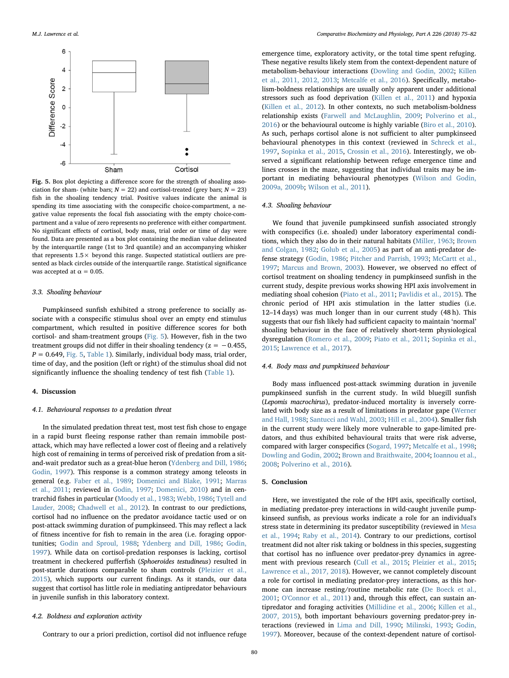<span id="page-5-0"></span>

Fig. 5. Box plot depicting a difference score for the strength of shoaling association for sham- (white bars;  $N = 22$ ) and cortisol-treated (grey bars;  $N = 23$ ) fish in the shoaling tendency trial. Positive values indicate the animal is spending its time associating with the conspecific choice-compartment, a negative value represents the focal fish associating with the empty choice-compartment and a value of zero represents no preference with either compartment. No significant effects of cortisol, body mass, trial order or time of day were found. Data are presented as a box plot containing the median value delineated by the interquartile range (1st to 3rd quantile) and an accompanying whisker that represents  $1.5 \times$  beyond this range. Suspected statistical outliers are presented as black circles outside of the interquartile range. Statistical significance was accepted at  $\alpha = 0.05$ .

## 3.3. Shoaling behaviour

Pumpkinseed sunfish exhibited a strong preference to socially associate with a conspecific stimulus shoal over an empty end stimulus compartment, which resulted in positive difference scores for both cortisol- and sham-treatment groups [\(Fig. 5](#page-5-0)). However, fish in the two treatment groups did not differ in their shoaling tendency ( $z = -0.455$ ,  $P = 0.649$ , [Fig. 5,](#page-5-0) [Table 1\)](#page-3-0). Similarly, individual body mass, trial order, time of day, and the position (left or right) of the stimulus shoal did not significantly influence the shoaling tendency of test fish ([Table 1](#page-3-0)).

# 4. Discussion

# 4.1. Behavioural responses to a predation threat

In the simulated predation threat test, most test fish chose to engage in a rapid burst fleeing response rather than remain immobile postattack, which may have reflected a lower cost of fleeing and a relatively high cost of remaining in terms of perceived risk of predation from a sitand-wait predator such as a great-blue heron [\(Ydenberg and Dill, 1986](#page-7-30); [Godin, 1997](#page-6-29)). This response is a common strategy among teleosts in general (e.g. [Faber et al., 1989;](#page-6-30) [Domenici and Blake, 1991](#page-6-31); [Marras](#page-7-31) [et al., 2011](#page-7-31); reviewed in [Godin, 1997](#page-6-29); [Domenici, 2010](#page-6-32)) and in centrarchid fishes in particular ([Moody et al., 1983;](#page-7-32) [Webb, 1986](#page-7-33); [Tytell and](#page-7-34) [Lauder, 2008;](#page-7-34) [Chadwell et al., 2012](#page-6-33)). In contrast to our predictions, cortisol had no influence on the predator avoidance tactic used or on post-attack swimming duration of pumpkinseed. This may reflect a lack of fitness incentive for fish to remain in the area (i.e. foraging opportunities; [Godin and Sproul, 1988](#page-6-9); [Ydenberg and Dill, 1986;](#page-7-30) [Godin,](#page-6-29) [1997\)](#page-6-29). While data on cortisol-predation responses is lacking, cortisol treatment in checkered pufferfish (Sphoeroides testudineus) resulted in post-startle durations comparable to sham controls ([Pleizier et al.,](#page-7-22) [2015\)](#page-7-22), which supports our current findings. As it stands, our data suggest that cortisol has little role in mediating antipredator behaviours in juvenile sunfish in this laboratory context.

#### 4.2. Boldness and exploration activity

Contrary to our a priori prediction, cortisol did not influence refuge

emergence time, exploratory activity, or the total time spent refuging. These negative results likely stem from the context-dependent nature of metabolism-behaviour interactions [\(Dowling and Godin, 2002](#page-6-34); [Killen](#page-6-12) [et al., 2011, 2012, 2013;](#page-6-12) [Metcalfe et al., 2016\)](#page-7-35). Specifically, metabolism-boldness relationships are usually only apparent under additional stressors such as food deprivation [\(Killen et al., 2011\)](#page-6-12) and hypoxia ([Killen et al., 2012\)](#page-6-35). In other contexts, no such metabolism-boldness relationship exists [\(Farwell and McLaughlin, 2009](#page-6-36); [Polverino et al.,](#page-7-36) [2016\)](#page-7-36) or the behavioural outcome is highly variable ([Biro et al., 2010](#page-6-37)). As such, perhaps cortisol alone is not sufficient to alter pumpkinseed behavioural phenotypes in this context (reviewed in [Schreck et al.,](#page-7-14) [1997,](#page-7-14) [Sopinka et al., 2015](#page-7-37), [Crossin et al., 2016](#page-6-38)). Interestingly, we observed a significant relationship between refuge emergence time and lines crosses in the maze, suggesting that individual traits may be important in mediating behavioural phenotypes [\(Wilson and Godin,](#page-7-38) [2009a, 2009b;](#page-7-38) [Wilson et al., 2011](#page-7-25)).

## 4.3. Shoaling behaviour

We found that juvenile pumpkinseed sunfish associated strongly with conspecifics (i.e. shoaled) under laboratory experimental conditions, which they also do in their natural habitats [\(Miller, 1963](#page-7-39); [Brown](#page-6-39) [and Colgan, 1982](#page-6-39); [Golub et al., 2005\)](#page-6-40) as part of an anti-predator defense strategy [\(Godin, 1986](#page-6-25); [Pitcher and Parrish, 1993;](#page-7-40) [McCartt et al.,](#page-7-41) [1997;](#page-7-41) [Marcus and Brown, 2003\)](#page-7-42). However, we observed no effect of cortisol treatment on shoaling tendency in pumpkinseed sunfish in the current study, despite previous works showing HPI axis involvement in mediating shoal cohesion ([Piato et al., 2011](#page-7-11); [Pavlidis et al., 2015\)](#page-7-43). The chronic period of HPI axis stimulation in the latter studies (i.e. 12–14 days) was much longer than in our current study (48 h). This suggests that our fish likely had sufficient capacity to maintain 'normal' shoaling behaviour in the face of relatively short-term physiological dysregulation ([Romero et al., 2009;](#page-7-3) [Piato et al., 2011;](#page-7-11) [Sopinka et al.,](#page-7-37) [2015;](#page-7-37) [Lawrence et al., 2017\)](#page-7-23).

## 4.4. Body mass and pumpkinseed behaviour

Body mass influenced post-attack swimming duration in juvenile pumpkinseed sunfish in the current study. In wild bluegill sunfish (Lepomis macrochirus), predator-induced mortality is inversely correlated with body size as a result of limitations in predator gape ([Werner](#page-7-44) [and Hall, 1988;](#page-7-44) [Santucci and Wahl, 2003](#page-7-45); [Hill et al., 2004\)](#page-6-41). Smaller fish in the current study were likely more vulnerable to gape-limited predators, and thus exhibited behavioural traits that were risk adverse, compared with larger conspecifics [\(Sogard, 1997;](#page-7-46) [Metcalfe et al., 1998](#page-7-47); [Dowling and Godin, 2002](#page-6-34); [Brown and Braithwaite, 2004](#page-6-42); [Ioannou et al.,](#page-6-43) [2008;](#page-6-43) [Polverino et al., 2016\)](#page-7-36).

#### 5. Conclusion

Here, we investigated the role of the HPI axis, specifically cortisol, in mediating predator-prey interactions in wild-caught juvenile pumpkinseed sunfish, as previous works indicate a role for an individual's stress state in determining its predator susceptibility (reviewed in [Mesa](#page-7-12) [et al., 1994;](#page-7-12) [Raby et al., 2014\)](#page-7-13). Contrary to our predictions, cortisol treatment did not alter risk taking or boldness in this species, suggesting that cortisol has no influence over predator-prey dynamics in agreement with previous research [\(Cull et al., 2015](#page-6-16); [Pleizier et al., 2015](#page-7-22); [Lawrence et al., 2017, 2018\)](#page-7-23). However, we cannot completely discount a role for cortisol in mediating predator-prey interactions, as this hormone can increase resting/routine metabolic rate [\(De Boeck et al.,](#page-6-3) [2001;](#page-6-3) [O'Connor et al., 2011](#page-7-7)) and, through this effect, can sustain antipredator and foraging activities [\(Millidine et al., 2006](#page-7-21); [Killen et al.,](#page-6-13) [2007, 2015](#page-6-13)), both important behaviours governing predator-prey interactions (reviewed in [Lima and Dill, 1990;](#page-7-15) [Milinski, 1993](#page-7-48); [Godin,](#page-6-29) [1997\)](#page-6-29). Moreover, because of the context-dependent nature of cortisol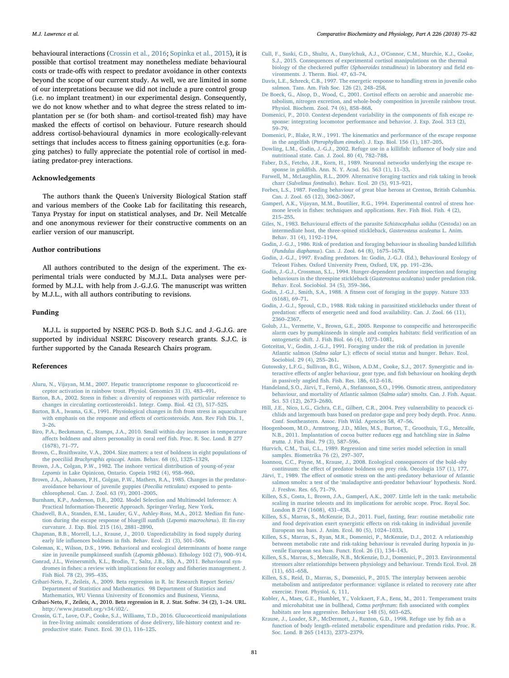behavioural interactions [\(Crossin et al., 2016](#page-6-38); [Sopinka et al., 2015\)](#page-7-37), it is possible that cortisol treatment may nonetheless mediate behavioural costs or trade-offs with respect to predator avoidance in other contexts beyond the scope of our current study. As well, we are limited in some of our interpretations because we did not include a pure control group (i.e. no implant treatment) in our experimental design. Consequently, we do not know whether and to what degree the stress related to implantation per se (for both sham- and cortisol-treated fish) may have masked the effects of cortisol on behaviour. Future research should address cortisol-behavioural dynamics in more ecologically-relevant settings that includes access to fitness gaining opportunities (e.g. foraging patches) to fully appreciate the potential role of cortisol in mediating predator-prey interactions.

# Acknowledgements

The authors thank the Queen's University Biological Station staff and various members of the Cooke Lab for facilitating this research, Tanya Prystay for input on statistical analyses, and Dr. Neil Metcalfe and one anonymous reviewer for their constructive comments on an earlier version of our manuscript.

# Author contributions

All authors contributed to the design of the experiment. The experimental trials were conducted by M.J.L. Data analyses were performed by M.J.L. with help from J.-G.J.G. The manuscript was written by M.J.L., with all authors contributing to revisions.

# Funding

M.J.L. is supported by NSERC PGS-D. Both S.J.C. and J.-G.J.G. are supported by individual NSERC Discovery research grants. S.J.C. is further supported by the Canada Research Chairs program.

# References

- <span id="page-6-4"></span>[Aluru, N., Vijayan, M.M., 2007. Hepatic transcriptome response to glucocorticoid re](http://refhub.elsevier.com/S1095-6433(18)30127-2/rf0005)[ceptor activation in rainbow trout. Physiol. Genomics 31 \(3\), 483](http://refhub.elsevier.com/S1095-6433(18)30127-2/rf0005)–491.
- <span id="page-6-1"></span>Barton, B.A., 2002. Stress in fi[shes: a diversity of responses with particular reference to](http://refhub.elsevier.com/S1095-6433(18)30127-2/rf0010) [changes in circulating corticosteroids1. Integr. Comp. Biol. 42 \(3\), 517](http://refhub.elsevier.com/S1095-6433(18)30127-2/rf0010)–525.
- <span id="page-6-0"></span>[Barton, B.A., Iwama, G.K., 1991. Physiological changes in](http://refhub.elsevier.com/S1095-6433(18)30127-2/rf0015) fish from stress in aquaculture with emphasis on the response and eff[ects of corticosteroids. Ann. Rev Fish Dis. 1,](http://refhub.elsevier.com/S1095-6433(18)30127-2/rf0015) 3–[26](http://refhub.elsevier.com/S1095-6433(18)30127-2/rf0015).
- <span id="page-6-37"></span>[Biro, P.A., Beckmann, C., Stamps, J.A., 2010. Small within-day increases in temperature](http://refhub.elsevier.com/S1095-6433(18)30127-2/rf0020) aff[ects boldness and alters personality in coral reef](http://refhub.elsevier.com/S1095-6433(18)30127-2/rf0020) fish. Proc. R. Soc. Lond. B 277 [\(1678\), 71](http://refhub.elsevier.com/S1095-6433(18)30127-2/rf0020)–77.
- <span id="page-6-42"></span>[Brown, C., Braithwaite, V.A., 2004. Size matters: a test of boldness in eight populations of](http://refhub.elsevier.com/S1095-6433(18)30127-2/rf0025) the poeciliid Brachyraphis episcopi[. Anim. Behav. 68 \(6\), 1325](http://refhub.elsevier.com/S1095-6433(18)30127-2/rf0025)–1329.
- <span id="page-6-39"></span>[Brown, J.A., Colgan, P.W., 1982. The inshore vertical distribution of young-of-year](http://refhub.elsevier.com/S1095-6433(18)30127-2/rf0030) Lepomis [in Lake Opinicon, Ontario. Copeia 1982 \(4\), 958](http://refhub.elsevier.com/S1095-6433(18)30127-2/rf0030)–960.
- <span id="page-6-6"></span>[Brown, J.A., Johansen, P.H., Colgan, P.W., Mathers, R.A., 1985. Changes in the predator](http://refhub.elsevier.com/S1095-6433(18)30127-2/rf0035)[avoidance behaviour of juvenile guppies \(](http://refhub.elsevier.com/S1095-6433(18)30127-2/rf0035)Poecilia reticulata) exposed to penta[chlorophenol. Can. J. Zool. 63 \(9\), 2001](http://refhub.elsevier.com/S1095-6433(18)30127-2/rf0035)–2005.
- <span id="page-6-27"></span>[Burnham, K.P., Anderson, D.R., 2002. Model Selection and Multimodel Inference: A](http://refhub.elsevier.com/S1095-6433(18)30127-2/rf0040) [Practical Information-Theoretic Approach. Springer-Verlag, New York](http://refhub.elsevier.com/S1095-6433(18)30127-2/rf0040).
- <span id="page-6-33"></span>[Chadwell, B.A., Standen, E.M., Lauder, G.V., Ashley-Ross, M.A., 2012. Median](http://refhub.elsevier.com/S1095-6433(18)30127-2/rf0045) fin func[tion during the escape response of bluegill sun](http://refhub.elsevier.com/S1095-6433(18)30127-2/rf0045)fish (Lepomis macrochirus). II: fin-ray [curvature. J. Exp. Biol. 215 \(16\), 2881](http://refhub.elsevier.com/S1095-6433(18)30127-2/rf0045)–2890.
- <span id="page-6-17"></span>[Chapman, B.B., Morrell, L.J., Krause, J., 2010. Unpredictability in food supply during](http://refhub.elsevier.com/S1095-6433(18)30127-2/rf0055) early life influences boldness in fi[sh. Behav. Ecol. 21 \(3\), 501](http://refhub.elsevier.com/S1095-6433(18)30127-2/rf0055)–506.
- <span id="page-6-24"></span>[Coleman, K., Wilson, D.S., 1996. Behavioral and ecological determinants of home range](http://refhub.elsevier.com/S1095-6433(18)30127-2/rf0060) [size in juvenile pumpkinseed sun](http://refhub.elsevier.com/S1095-6433(18)30127-2/rf0060)fish (Lepomis gibbosus). Ethology 102 (7), 900–914.
- <span id="page-6-14"></span>[Conrad, J.L., Weinersmith, K.L., Brodin, T., Saltz, J.B., Sih, A., 2011. Behavioural syn](http://refhub.elsevier.com/S1095-6433(18)30127-2/rf0065)dromes in fi[shes: a review with implications for ecology and](http://refhub.elsevier.com/S1095-6433(18)30127-2/rf0065) fisheries management. J. [Fish Biol. 78 \(2\), 395](http://refhub.elsevier.com/S1095-6433(18)30127-2/rf0065)–435.
- <span id="page-6-28"></span>[Cribari-Neto, F., Zeileis, A., 2009. Beta regression in R. In: Research Report Series/](http://refhub.elsevier.com/S1095-6433(18)30127-2/rf0075) [Department of Statistics and Mathematics. 98 Department of Statistics and](http://refhub.elsevier.com/S1095-6433(18)30127-2/rf0075) [Mathematics, WU Vienna University of Economics and Business, Vienna](http://refhub.elsevier.com/S1095-6433(18)30127-2/rf0075).
- Cribari-Neto, F., Zeileis, A., 2010. Beta regression in R. J. Stat. Softw. 34 (2), 1–24. URL. <http://www.jstatsoft.org/v34/i02/>.
- <span id="page-6-38"></span>[Crossin, G.T., Love, O.P., Cooke, S.J., Williams, T.D., 2016. Glucocorticoid manipulations](http://refhub.elsevier.com/S1095-6433(18)30127-2/rf0085) [in free-living animals: considerations of dose delivery, life-history context and re](http://refhub.elsevier.com/S1095-6433(18)30127-2/rf0085)[productive state. Funct. Ecol. 30 \(1\), 116](http://refhub.elsevier.com/S1095-6433(18)30127-2/rf0085)–125.
- <span id="page-6-16"></span>[Cull, F., Suski, C.D., Shultz, A., Danylchuk, A.J., O'Connor, C.M., Murchie, K.J., Cooke,](http://refhub.elsevier.com/S1095-6433(18)30127-2/rf0090) [S.J., 2015. Consequences of experimental cortisol manipulations on the thermal](http://refhub.elsevier.com/S1095-6433(18)30127-2/rf0090) [biology of the checkered pu](http://refhub.elsevier.com/S1095-6433(18)30127-2/rf0090)ffer (Sphoeroides testudineus) in laboratory and field en[vironments. J. Therm. Biol. 47, 63](http://refhub.elsevier.com/S1095-6433(18)30127-2/rf0090)–74.
- <span id="page-6-2"></span>[Davis, L.E., Schreck, C.B., 1997. The energetic response to handling stress in juvenile coho](http://refhub.elsevier.com/S1095-6433(18)30127-2/rf0095) [salmon. Tans. Am. Fish Soc. 126 \(2\), 248](http://refhub.elsevier.com/S1095-6433(18)30127-2/rf0095)–258.
- <span id="page-6-3"></span>[De Boeck, G., Alsop, D., Wood, C., 2001. Cortisol e](http://refhub.elsevier.com/S1095-6433(18)30127-2/rf0100)ffects on aerobic and anaerobic me[tabolism, nitrogen excretion, and whole-body composition in juvenile rainbow trout.](http://refhub.elsevier.com/S1095-6433(18)30127-2/rf0100) [Physiol. Biochem. Zool. 74 \(6\), 858](http://refhub.elsevier.com/S1095-6433(18)30127-2/rf0100)–868.
- <span id="page-6-32"></span>[Domenici, P., 2010. Context-dependent variability in the components of](http://refhub.elsevier.com/S1095-6433(18)30127-2/rf0105) fish escape re[sponse: integrating locomotor performance and behavior. J. Exp. Zool. 313 \(2\),](http://refhub.elsevier.com/S1095-6433(18)30127-2/rf0105) 59–[79](http://refhub.elsevier.com/S1095-6433(18)30127-2/rf0105).
- <span id="page-6-31"></span>[Domenici, P., Blake, R.W., 1991. The kinematics and performance of the escape response](http://refhub.elsevier.com/S1095-6433(18)30127-2/rf0110) in the angelfish (Pterophyllum eimekei[\). J. Exp. Biol. 156 \(1\), 187](http://refhub.elsevier.com/S1095-6433(18)30127-2/rf0110)–205.
- <span id="page-6-34"></span>[Dowling, L.M., Godin, J.-G.J., 2002. Refuge use in a killi](http://refhub.elsevier.com/S1095-6433(18)30127-2/rf0115)fish: influence of body size and [nutritional state. Can. J. Zool. 80 \(4\), 782](http://refhub.elsevier.com/S1095-6433(18)30127-2/rf0115)–788.
- <span id="page-6-30"></span>[Faber, D.S., Fetcho, J.R., Korn, H., 1989. Neuronal networks underlying the escape re](http://refhub.elsevier.com/S1095-6433(18)30127-2/rf0120)sponse in goldfi[sh. Ann. N. Y. Acad. Sci. 563 \(1\), 11](http://refhub.elsevier.com/S1095-6433(18)30127-2/rf0120)–33.
- <span id="page-6-36"></span>[Farwell, M., McLaughlin, R.L., 2009. Alternative foraging tactics and risk taking in brook](http://refhub.elsevier.com/S1095-6433(18)30127-2/rf0125) charr (Salvelinus fontinalis[\). Behav. Ecol. 20 \(5\), 913](http://refhub.elsevier.com/S1095-6433(18)30127-2/rf0125)–921.
- <span id="page-6-23"></span>[Forbes, L.S., 1987. Feeding behaviour of great blue herons at Creston, British Columbia.](http://refhub.elsevier.com/S1095-6433(18)30127-2/rf0130) [Can. J. Zool. 65 \(12\), 3062](http://refhub.elsevier.com/S1095-6433(18)30127-2/rf0130)–3067.
- <span id="page-6-21"></span>[Gamperl, A.K., Vijayan, M.M., Boutilier, R.G., 1994. Experimental control of stress hor](http://refhub.elsevier.com/S1095-6433(18)30127-2/rf0135)mone levels in fi[shes: techniques and applications. Rev. Fish Biol. Fish. 4 \(2\),](http://refhub.elsevier.com/S1095-6433(18)30127-2/rf0135) 215–[255](http://refhub.elsevier.com/S1095-6433(18)30127-2/rf0135).
- <span id="page-6-8"></span>[Giles, N., 1983. Behavioural e](http://refhub.elsevier.com/S1095-6433(18)30127-2/rf0140)ffects of the parasite Schistocephalus solidus (Cestoda) on an [intermediate host, the three-spined stickleback,](http://refhub.elsevier.com/S1095-6433(18)30127-2/rf0140) Gasterosteus aculeatus L. Anim. [Behav. 31 \(4\), 1192](http://refhub.elsevier.com/S1095-6433(18)30127-2/rf0140)–1194.
- <span id="page-6-25"></span>Godin, [J.-G.J., 1986. Risk of predation and foraging behaviour in shoaling banded killi](http://refhub.elsevier.com/S1095-6433(18)30127-2/rf0145)fish (Fundulus diaphanus[\). Can. J. Zool. 64 \(8\), 1675](http://refhub.elsevier.com/S1095-6433(18)30127-2/rf0145)–1678.
- <span id="page-6-29"></span>[Godin, J.-G.J., 1997. Evading predators. In: Godin, J.-G.J. \(Ed.\), Behavioural Ecology of](http://refhub.elsevier.com/S1095-6433(18)30127-2/rf0150) [Teleost Fishes. Oxford University Press, Oxford, UK, pp. 191](http://refhub.elsevier.com/S1095-6433(18)30127-2/rf0150)–236.
- <span id="page-6-20"></span>[Godin, J.-G.J., Crossman, S.L., 1994. Hunger-dependent predator inspection and foraging](http://refhub.elsevier.com/S1095-6433(18)30127-2/rf0155) [behaviours in the threespine stickleback \(](http://refhub.elsevier.com/S1095-6433(18)30127-2/rf0155)Gasterosteus aculeatus) under predation risk. [Behav. Ecol. Sociobiol. 34 \(5\), 359](http://refhub.elsevier.com/S1095-6433(18)30127-2/rf0155)–366.
- <span id="page-6-11"></span>Godin, J.-G.J., Smith, S.A., 1988. A fi[tness cost of foraging in the guppy. Nature 333](http://refhub.elsevier.com/S1095-6433(18)30127-2/rf0160) [\(6168\), 69](http://refhub.elsevier.com/S1095-6433(18)30127-2/rf0160)–71.
- <span id="page-6-9"></span>[Godin, J.-G.J., Sproul, C.D., 1988. Risk taking in parasitized sticklebacks under threat of](http://refhub.elsevier.com/S1095-6433(18)30127-2/rf0165) predation: eff[ects of energetic need and food availability. Can. J. Zool. 66 \(11\),](http://refhub.elsevier.com/S1095-6433(18)30127-2/rf0165) 2360–[2367](http://refhub.elsevier.com/S1095-6433(18)30127-2/rf0165).
- <span id="page-6-40"></span>[Golub, J.L., Vermette, V., Brown, G.E., 2005. Response to conspeci](http://refhub.elsevier.com/S1095-6433(18)30127-2/rf0170)fic and heterospecific [alarm cues by pumpkinseeds in simple and complex habitats:](http://refhub.elsevier.com/S1095-6433(18)30127-2/rf0170) field verification of an [ontogenetic shift. J. Fish Biol. 66 \(4\), 1073](http://refhub.elsevier.com/S1095-6433(18)30127-2/rf0170)–1081.
- <span id="page-6-10"></span>[Gotceitas, V., Godin, J.-G.J., 1991. Foraging under the risk of predation in juvenile](http://refhub.elsevier.com/S1095-6433(18)30127-2/rf0175) Atlantic salmon (Salmo salar L.): eff[ects of social status and hunger. Behav. Ecol.](http://refhub.elsevier.com/S1095-6433(18)30127-2/rf0175) [Sociobiol. 29 \(4\), 255](http://refhub.elsevier.com/S1095-6433(18)30127-2/rf0175)–261.
- <span id="page-6-19"></span>[Gutowsky, L.F.G., Sullivan, B.G., Wilson, A.D.M., Cooke, S.J., 2017. Synergistic and in](http://refhub.elsevier.com/S1095-6433(18)30127-2/rf0180)teractive eff[ects of angler behaviour, gear type, and](http://refhub.elsevier.com/S1095-6433(18)30127-2/rf0180) fish behaviour on hooking depth in passively angled fi[sh. Fish. Res. 186, 612](http://refhub.elsevier.com/S1095-6433(18)30127-2/rf0180)–618.
- <span id="page-6-7"></span>[Handeland, S.O., Järvi, T., Fernö, A., Stefansson, S.O., 1996. Osmotic stress, antipredatory](http://refhub.elsevier.com/S1095-6433(18)30127-2/rf0185) [behaviour, and mortality of Atlantic salmon \(](http://refhub.elsevier.com/S1095-6433(18)30127-2/rf0185)Salmo salar) smolts. Can. J. Fish. Aquat. [Sci. 53 \(12\), 2673](http://refhub.elsevier.com/S1095-6433(18)30127-2/rf0185)–2680.
- <span id="page-6-41"></span>[Hill, J.E., Nico, L.G., Cichra, C.E., Gilbert, C.R., 2004. Prey vulnerability to peacock ci](http://refhub.elsevier.com/S1095-6433(18)30127-2/rf0190)[chlids and largemouth bass based on predator-gape and prey body depth. Proc. Annu.](http://refhub.elsevier.com/S1095-6433(18)30127-2/rf0190) [Conf. Southeastern. Assoc. Fish Wild. Agencies 58, 47](http://refhub.elsevier.com/S1095-6433(18)30127-2/rf0190)–56.
- <span id="page-6-22"></span>[Hoogenboom, M.O., Armstrong, J.D., Miles, M.S., Burton, T., Groothuis, T.G., Metcalfe,](http://refhub.elsevier.com/S1095-6433(18)30127-2/rf0195) [N.B., 2011. Implantation of cocoa butter reduces egg and hatchling size in](http://refhub.elsevier.com/S1095-6433(18)30127-2/rf0195) Salmo trutta[. J. Fish Biol. 79 \(3\), 587](http://refhub.elsevier.com/S1095-6433(18)30127-2/rf0195)–596.
- <span id="page-6-26"></span>[Hurvich, C.M., Tsai, C.L., 1989. Regression and time series model selection in small](http://refhub.elsevier.com/S1095-6433(18)30127-2/rf0200) [samples. Biometrika 76 \(2\), 297](http://refhub.elsevier.com/S1095-6433(18)30127-2/rf0200)–307.
- <span id="page-6-43"></span>[Ioannou, C.C., Payne, M., Krause, J., 2008. Ecological consequences of the bold](http://refhub.elsevier.com/S1095-6433(18)30127-2/rf0205)–shy continuum: the eff[ect of predator boldness on prey risk. Oecologia 157 \(1\), 177](http://refhub.elsevier.com/S1095-6433(18)30127-2/rf0205).
- <span id="page-6-5"></span>Järvi, T., 1989. The eff[ect of osmotic stress on the anti-predatory behaviour of Atlantic](http://refhub.elsevier.com/S1095-6433(18)30127-2/rf0210) salmon smolts: a test of the '[maladaptive anti-predator behaviour](http://refhub.elsevier.com/S1095-6433(18)30127-2/rf0210)' hypothesis. Nord. [J. Freshw. Res. 65, 71](http://refhub.elsevier.com/S1095-6433(18)30127-2/rf0210)–79.
- [Killen, S.S., Costa, I., Brown, J.A., Gamperl, A.K., 2007. Little left in the tank: metabolic](http://refhub.elsevier.com/S1095-6433(18)30127-2/rf0905) [scaling in marine teleosts and its implications for aerobic scope. Proc. Royal Soc.](http://refhub.elsevier.com/S1095-6433(18)30127-2/rf0905) [London B 274 \(1608\), 431](http://refhub.elsevier.com/S1095-6433(18)30127-2/rf0905)–438.
- <span id="page-6-12"></span>[Killen, S.S., Marras, S., McKenzie, D.J., 2011. Fuel, fasting, fear: routine metabolic rate](http://refhub.elsevier.com/S1095-6433(18)30127-2/rf0215) and food deprivation exert synergistic eff[ects on risk-taking in individual juvenile](http://refhub.elsevier.com/S1095-6433(18)30127-2/rf0215) [European sea bass. J. Anim. Ecol. 80 \(5\), 1024](http://refhub.elsevier.com/S1095-6433(18)30127-2/rf0215)–1033.
- <span id="page-6-35"></span>[Killen, S.S., Marras, S., Ryan, M.R., Domenici, P., McKenzie, D.J., 2012. A relationship](http://refhub.elsevier.com/S1095-6433(18)30127-2/rf0220) [between metabolic rate and risk-taking behaviour is revealed during hypoxia in ju](http://refhub.elsevier.com/S1095-6433(18)30127-2/rf0220)[venile European sea bass. Funct. Ecol. 26 \(1\), 134](http://refhub.elsevier.com/S1095-6433(18)30127-2/rf0220)–143.
- [Killen, S.S., Marras, S., Metcalfe, N.B., McKenzie, D.J., Domenici, P., 2013. Environmental](http://refhub.elsevier.com/S1095-6433(18)30127-2/rf0225) [stressors alter relationships between physiology and behaviour. Trends Ecol. Evol. 28](http://refhub.elsevier.com/S1095-6433(18)30127-2/rf0225) [\(11\), 651](http://refhub.elsevier.com/S1095-6433(18)30127-2/rf0225)–658.
- <span id="page-6-13"></span>[Killen, S.S., Reid, D., Marras, S., Domenici, P., 2015. The interplay between aerobic](http://refhub.elsevier.com/S1095-6433(18)30127-2/rf0230) [metabolism and antipredator performance: vigilance is related to recovery rate after](http://refhub.elsevier.com/S1095-6433(18)30127-2/rf0230) [exercise. Front. Physiol. 6, 111.](http://refhub.elsevier.com/S1095-6433(18)30127-2/rf0230)
- <span id="page-6-18"></span>[Kobler, A., Maes, G.E., Humblet, Y., Volckaert, F.A., Eens, M., 2011. Temperament traits](http://refhub.elsevier.com/S1095-6433(18)30127-2/rf0235) [and microhabitat use in bullhead,](http://refhub.elsevier.com/S1095-6433(18)30127-2/rf0235) Cottus perifretum: fish associated with complex [habitats are less aggressive. Behaviour 148 \(5\), 603](http://refhub.elsevier.com/S1095-6433(18)30127-2/rf0235)–625.
- <span id="page-6-15"></span>[Krause, J., Loader, S.P., McDermott, J., Ruxton, G.D., 1998. Refuge use by](http://refhub.elsevier.com/S1095-6433(18)30127-2/rf0240) fish as a function of body length–[related metabolic expenditure and predation risks. Proc. R.](http://refhub.elsevier.com/S1095-6433(18)30127-2/rf0240) [Soc. Lond. B 265 \(1413\), 2373](http://refhub.elsevier.com/S1095-6433(18)30127-2/rf0240)–2379.